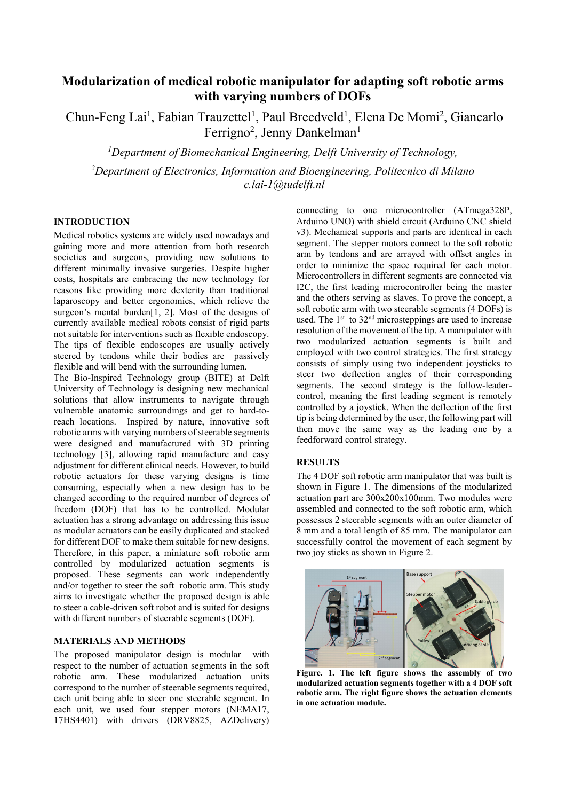# **Modularization of medical robotic manipulator for adapting soft robotic arms with varying numbers of DOFs**

Chun-Feng Lai<sup>1</sup>, Fabian Trauzettel<sup>1</sup>, Paul Breedveld<sup>1</sup>, Elena De Momi<sup>2</sup>, Giancarlo Ferrigno<sup>2</sup>, Jenny Dankelman<sup>1</sup>

*1 Department of Biomechanical Engineering, Delft University of Technology, 2 Department of Electronics, Information and Bioengineering, Politecnico di Milano c.lai-1@tudelft.nl* 

### **INTRODUCTION**

Medical robotics systems are widely used nowadays and gaining more and more attention from both research societies and surgeons, providing new solutions to different minimally invasive surgeries. Despite higher costs, hospitals are embracing the new technology for reasons like providing more dexterity than traditional laparoscopy and better ergonomics, which relieve the surgeon's mental burden[1, 2]. Most of the designs of currently available medical robots consist of rigid parts not suitable for interventions such as flexible endoscopy. The tips of flexible endoscopes are usually actively steered by tendons while their bodies are passively flexible and will bend with the surrounding lumen.

The Bio-Inspired Technology group (BITE) at Delft University of Technology is designing new mechanical solutions that allow instruments to navigate through vulnerable anatomic surroundings and get to hard-toreach locations. Inspired by nature, innovative soft robotic arms with varying numbers of steerable segments were designed and manufactured with 3D printing technology [3], allowing rapid manufacture and easy adjustment for different clinical needs. However, to build robotic actuators for these varying designs is time consuming, especially when a new design has to be changed according to the required number of degrees of freedom (DOF) that has to be controlled. Modular actuation has a strong advantage on addressing this issue as modular actuators can be easily duplicated and stacked for different DOF to make them suitable for new designs. Therefore, in this paper, a miniature soft robotic arm controlled by modularized actuation segments is proposed. These segments can work independently and/or together to steer the soft robotic arm. This study aims to investigate whether the proposed design is able to steer a cable-driven soft robot and is suited for designs with different numbers of steerable segments (DOF).

## **MATERIALS AND METHODS**

The proposed manipulator design is modular with respect to the number of actuation segments in the soft robotic arm. These modularized actuation units correspond to the number of steerable segments required, each unit being able to steer one steerable segment. In each unit, we used four stepper motors (NEMA17, 17HS4401) with drivers (DRV8825, AZDelivery) connecting to one microcontroller (ATmega328P, Arduino UNO) with shield circuit (Arduino CNC shield v3). Mechanical supports and parts are identical in each segment. The stepper motors connect to the soft robotic arm by tendons and are arrayed with offset angles in order to minimize the space required for each motor. Microcontrollers in different segments are connected via I2C, the first leading microcontroller being the master and the others serving as slaves. To prove the concept, a soft robotic arm with two steerable segments (4 DOFs) is used. The  $1<sup>st</sup>$  to  $32<sup>nd</sup>$  microsteppings are used to increase resolution of the movement of the tip. A manipulator with two modularized actuation segments is built and employed with two control strategies. The first strategy consists of simply using two independent joysticks to steer two deflection angles of their corresponding segments. The second strategy is the follow-leadercontrol, meaning the first leading segment is remotely controlled by a joystick. When the deflection of the first tip is being determined by the user, the following part will then move the same way as the leading one by a feedforward control strategy.

## **RESULTS**

The 4 DOF soft robotic arm manipulator that was built is shown in Figure 1. The dimensions of the modularized actuation part are 300x200x100mm. Two modules were assembled and connected to the soft robotic arm, which possesses 2 steerable segments with an outer diameter of 8 mm and a total length of 85 mm. The manipulator can successfully control the movement of each segment by two joy sticks as shown in Figure 2.



**Figure. 1. The left figure shows the assembly of two modularized actuation segments together with a 4 DOF soft robotic arm. The right figure shows the actuation elements in one actuation module.**